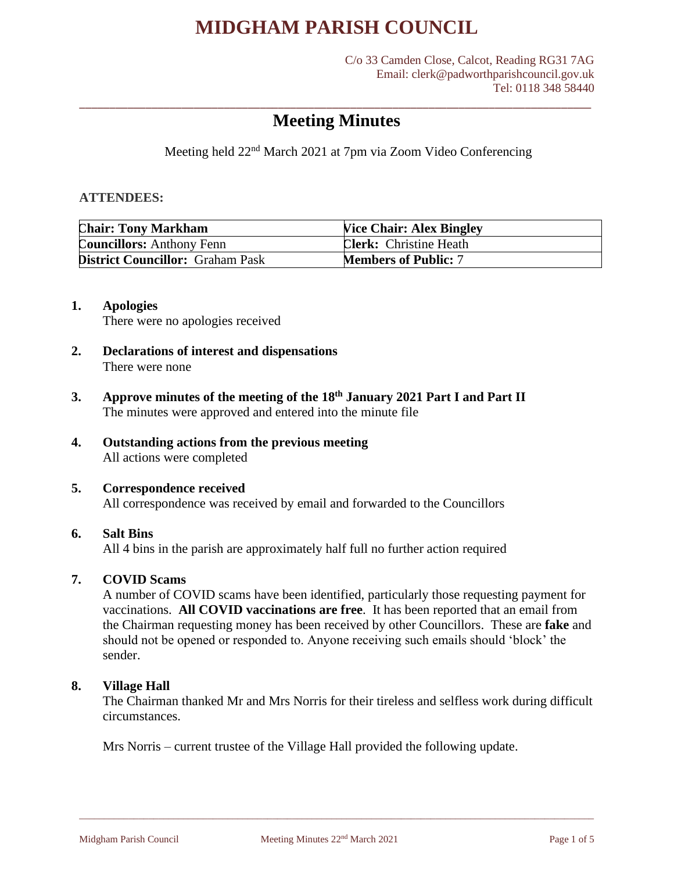C/o 33 Camden Close, Calcot, Reading RG31 7AG Email: clerk@padworthparishcouncil.gov.uk Tel: 0118 348 58440

### \_\_\_\_\_\_\_\_\_\_\_\_\_\_\_\_\_\_\_\_\_\_\_\_\_\_\_\_\_\_\_\_\_\_\_\_\_\_\_\_\_\_\_\_\_\_\_\_\_\_\_\_\_\_\_\_\_\_\_\_\_\_\_\_\_\_\_\_\_\_\_\_\_\_\_\_\_\_\_\_\_\_\_\_\_ **Meeting Minutes**

Meeting held 22nd March 2021 at 7pm via Zoom Video Conferencing

### **ATTENDEES:**

| <b>Chair: Tony Markham</b>              | <b>Vice Chair: Alex Bingley</b> |
|-----------------------------------------|---------------------------------|
| <b>Councillors:</b> Anthony Fenn        | <b>Clerk:</b> Christine Heath   |
| <b>District Councillor: Graham Pask</b> | <b>Members of Public: 7</b>     |

### **1. Apologies**

There were no apologies received

- **2. Declarations of interest and dispensations** There were none
- **3. Approve minutes of the meeting of the 18th January 2021 Part I and Part II** The minutes were approved and entered into the minute file
- **4. Outstanding actions from the previous meeting** All actions were completed

### **5. Correspondence received**

All correspondence was received by email and forwarded to the Councillors

### **6. Salt Bins**

All 4 bins in the parish are approximately half full no further action required

#### **7. COVID Scams**

A number of COVID scams have been identified, particularly those requesting payment for vaccinations. **All COVID vaccinations are free**. It has been reported that an email from the Chairman requesting money has been received by other Councillors. These are **fake** and should not be opened or responded to. Anyone receiving such emails should 'block' the sender.

### **8. Village Hall**

The Chairman thanked Mr and Mrs Norris for their tireless and selfless work during difficult circumstances.

Mrs Norris – current trustee of the Village Hall provided the following update.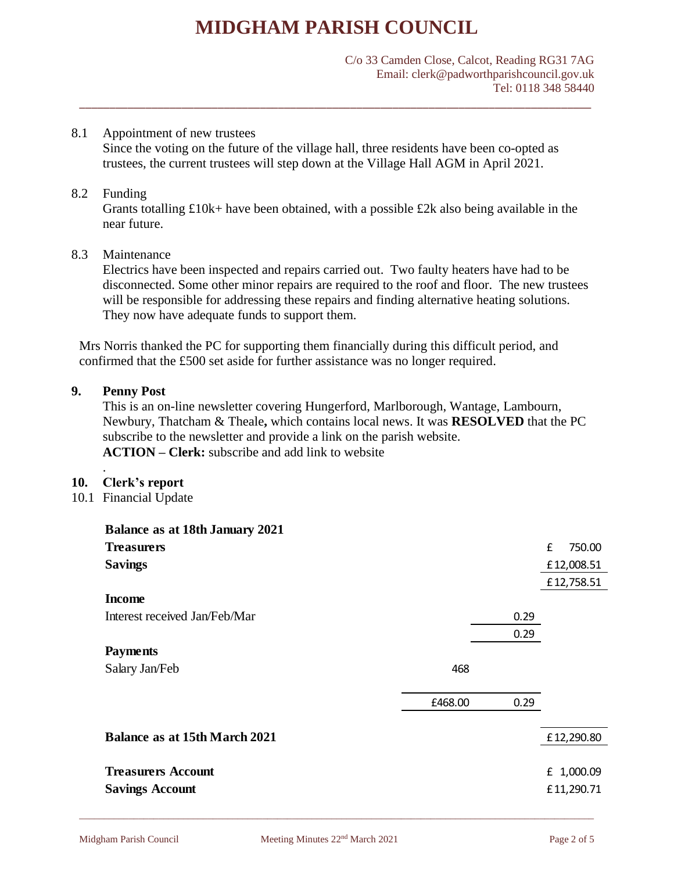C/o 33 Camden Close, Calcot, Reading RG31 7AG Email: clerk@padworthparishcouncil.gov.uk Tel: 0118 348 58440

### 8.1 Appointment of new trustees

Since the voting on the future of the village hall, three residents have been co-opted as trustees, the current trustees will step down at the Village Hall AGM in April 2021.

\_\_\_\_\_\_\_\_\_\_\_\_\_\_\_\_\_\_\_\_\_\_\_\_\_\_\_\_\_\_\_\_\_\_\_\_\_\_\_\_\_\_\_\_\_\_\_\_\_\_\_\_\_\_\_\_\_\_\_\_\_\_\_\_\_\_\_\_\_\_\_\_\_\_\_\_\_\_\_\_\_\_\_\_\_

### 8.2 Funding

Grants totalling  $\pounds 10k$ + have been obtained, with a possible  $\pounds 2k$  also being available in the near future.

### 8.3 Maintenance

Electrics have been inspected and repairs carried out. Two faulty heaters have had to be disconnected. Some other minor repairs are required to the roof and floor. The new trustees will be responsible for addressing these repairs and finding alternative heating solutions. They now have adequate funds to support them.

Mrs Norris thanked the PC for supporting them financially during this difficult period, and confirmed that the £500 set aside for further assistance was no longer required.

### **9. Penny Post**

This is an on-line newsletter covering Hungerford, Marlborough, Wantage, Lambourn, Newbury, Thatcham & Theale**,** which contains local news. It was **RESOLVED** that the PC subscribe to the newsletter and provide a link on the parish website. **ACTION – Clerk:** subscribe and add link to website

### .

#### **10. Clerk's report**

10.1 Financial Update

| <b>Balance as at 18th January 2021</b> |         |      |             |
|----------------------------------------|---------|------|-------------|
| <b>Treasurers</b>                      |         |      | £<br>750.00 |
| <b>Savings</b>                         |         |      | £12,008.51  |
|                                        |         |      | £12,758.51  |
| <b>Income</b>                          |         |      |             |
| Interest received Jan/Feb/Mar          |         | 0.29 |             |
|                                        |         | 0.29 |             |
| <b>Payments</b>                        |         |      |             |
| Salary Jan/Feb                         | 468     |      |             |
|                                        |         |      |             |
|                                        | £468.00 | 0.29 |             |
|                                        |         |      |             |
| <b>Balance as at 15th March 2021</b>   |         |      | £12,290.80  |
|                                        |         |      |             |
| <b>Treasurers Account</b>              |         |      | £ 1,000.09  |
| <b>Savings Account</b>                 |         |      | £11,290.71  |
|                                        |         |      |             |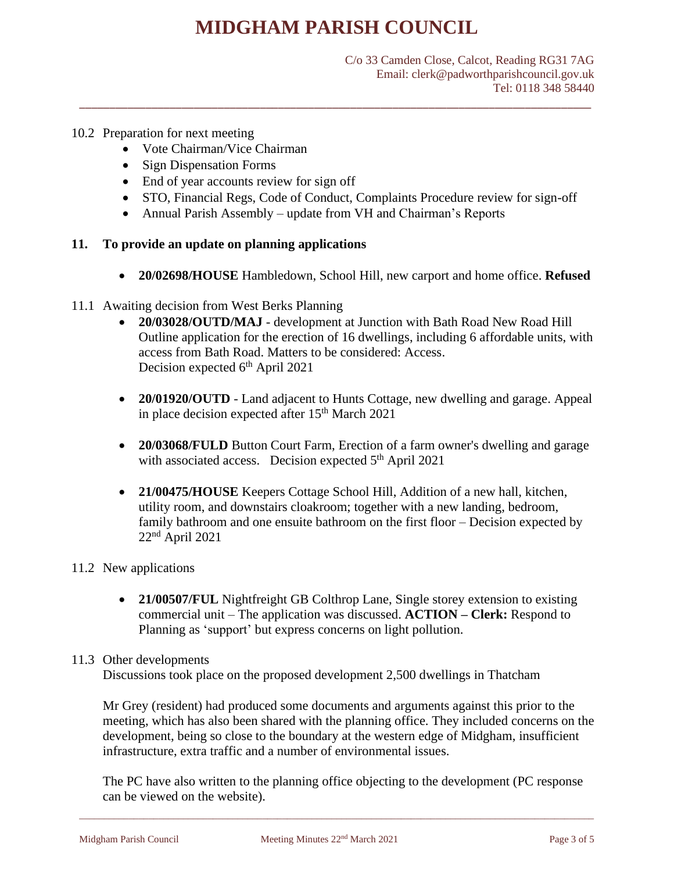\_\_\_\_\_\_\_\_\_\_\_\_\_\_\_\_\_\_\_\_\_\_\_\_\_\_\_\_\_\_\_\_\_\_\_\_\_\_\_\_\_\_\_\_\_\_\_\_\_\_\_\_\_\_\_\_\_\_\_\_\_\_\_\_\_\_\_\_\_\_\_\_\_\_\_\_\_\_\_\_\_\_\_\_\_

C/o 33 Camden Close, Calcot, Reading RG31 7AG Email: clerk@padworthparishcouncil.gov.uk Tel: 0118 348 58440

### 10.2 Preparation for next meeting

- Vote Chairman/Vice Chairman
- Sign Dispensation Forms
- End of year accounts review for sign off
- STO, Financial Regs, Code of Conduct, Complaints Procedure review for sign-off
- Annual Parish Assembly update from VH and Chairman's Reports

### **11. To provide an update on planning applications**

• **20/02698/HOUSE** Hambledown, School Hill, new carport and home office. **Refused**

### 11.1 Awaiting decision from West Berks Planning

- **20/03028/OUTD/MAJ** development at Junction with Bath Road New Road Hill Outline application for the erection of 16 dwellings, including 6 affordable units, with access from Bath Road. Matters to be considered: Access. Decision expected  $6<sup>th</sup>$  April 2021
- **20/01920/OUTD** Land adjacent to Hunts Cottage, new dwelling and garage. Appeal in place decision expected after  $15<sup>th</sup>$  March 2021
- **20/03068/FULD** Button Court Farm, Erection of a farm owner's dwelling and garage with associated access. Decision expected  $5<sup>th</sup>$  April 2021
- **21/00475/HOUSE** Keepers Cottage School Hill, Addition of a new hall, kitchen, utility room, and downstairs cloakroom; together with a new landing, bedroom, family bathroom and one ensuite bathroom on the first floor – Decision expected by  $22<sup>nd</sup>$  April 2021

#### 11.2 New applications

• **21/00507/FUL** Nightfreight GB Colthrop Lane, Single storey extension to existing commercial unit – The application was discussed. **ACTION – Clerk:** Respond to Planning as 'support' but express concerns on light pollution.

#### 11.3 Other developments

Discussions took place on the proposed development 2,500 dwellings in Thatcham

Mr Grey (resident) had produced some documents and arguments against this prior to the meeting, which has also been shared with the planning office. They included concerns on the development, being so close to the boundary at the western edge of Midgham, insufficient infrastructure, extra traffic and a number of environmental issues.

The PC have also written to the planning office objecting to the development (PC response can be viewed on the website).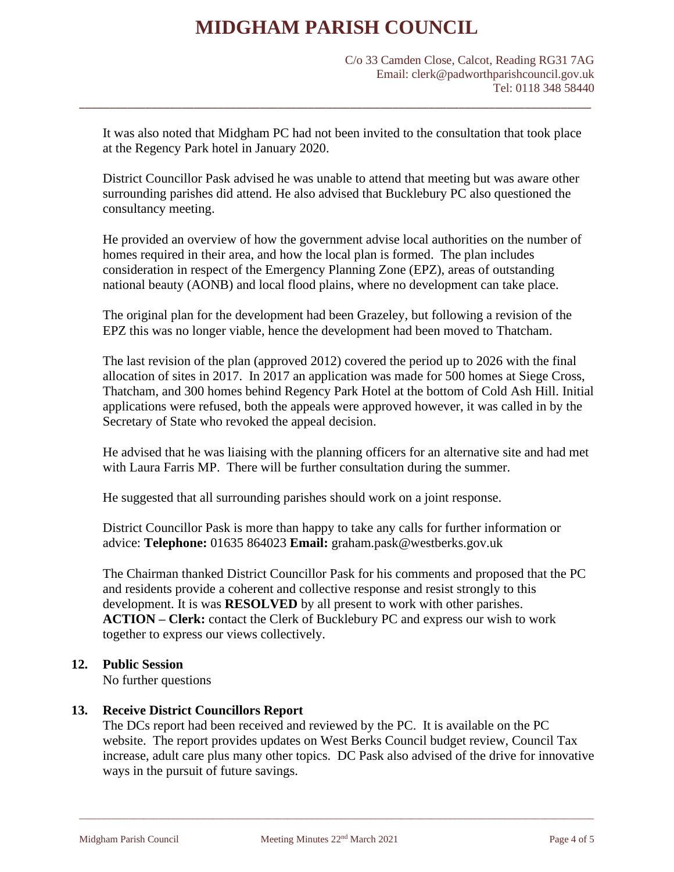C/o 33 Camden Close, Calcot, Reading RG31 7AG Email: clerk@padworthparishcouncil.gov.uk Tel: 0118 348 58440

It was also noted that Midgham PC had not been invited to the consultation that took place at the Regency Park hotel in January 2020.

\_\_\_\_\_\_\_\_\_\_\_\_\_\_\_\_\_\_\_\_\_\_\_\_\_\_\_\_\_\_\_\_\_\_\_\_\_\_\_\_\_\_\_\_\_\_\_\_\_\_\_\_\_\_\_\_\_\_\_\_\_\_\_\_\_\_\_\_\_\_\_\_\_\_\_\_\_\_\_\_\_\_\_\_\_

District Councillor Pask advised he was unable to attend that meeting but was aware other surrounding parishes did attend. He also advised that Bucklebury PC also questioned the consultancy meeting.

He provided an overview of how the government advise local authorities on the number of homes required in their area, and how the local plan is formed. The plan includes consideration in respect of the Emergency Planning Zone (EPZ), areas of outstanding national beauty (AONB) and local flood plains, where no development can take place.

The original plan for the development had been Grazeley, but following a revision of the EPZ this was no longer viable, hence the development had been moved to Thatcham.

The last revision of the plan (approved 2012) covered the period up to 2026 with the final allocation of sites in 2017. In 2017 an application was made for 500 homes at Siege Cross, Thatcham, and 300 homes behind Regency Park Hotel at the bottom of Cold Ash Hill. Initial applications were refused, both the appeals were approved however, it was called in by the Secretary of State who revoked the appeal decision.

He advised that he was liaising with the planning officers for an alternative site and had met with Laura Farris MP. There will be further consultation during the summer.

He suggested that all surrounding parishes should work on a joint response.

District Councillor Pask is more than happy to take any calls for further information or advice: **Telephone:** 01635 864023 **Email:** graham.pask@westberks.gov.uk

The Chairman thanked District Councillor Pask for his comments and proposed that the PC and residents provide a coherent and collective response and resist strongly to this development. It is was **RESOLVED** by all present to work with other parishes. **ACTION – Clerk:** contact the Clerk of Bucklebury PC and express our wish to work together to express our views collectively.

### **12. Public Session**

No further questions

### **13. Receive District Councillors Report**

The DCs report had been received and reviewed by the PC. It is available on the PC website. The report provides updates on West Berks Council budget review, Council Tax increase, adult care plus many other topics. DC Pask also advised of the drive for innovative ways in the pursuit of future savings.